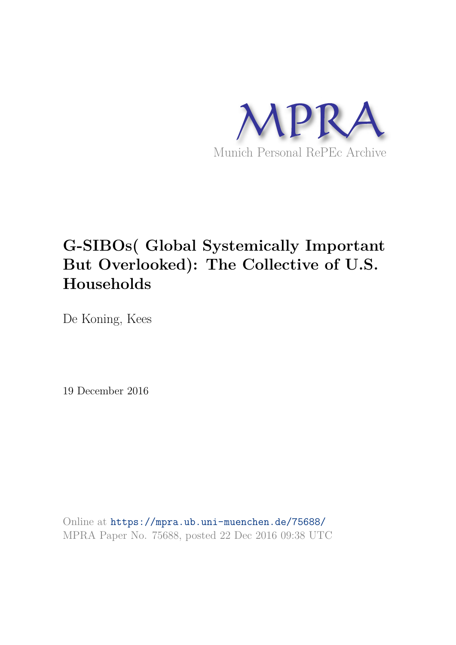

# **G-SIBOs( Global Systemically Important But Overlooked): The Collective of U.S. Households**

De Koning, Kees

19 December 2016

Online at https://mpra.ub.uni-muenchen.de/75688/ MPRA Paper No. 75688, posted 22 Dec 2016 09:38 UTC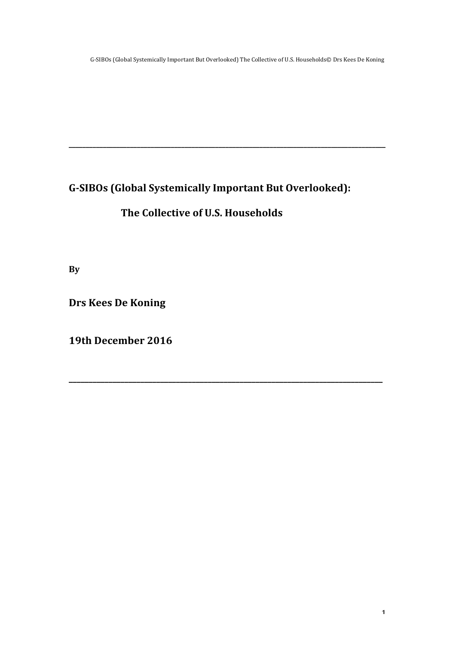G-SIBOs (Global Systemically Important But Overlooked):

**\_\_\_\_\_\_\_\_\_\_\_\_\_\_\_\_\_\_\_\_\_\_\_\_\_\_\_\_\_\_\_\_\_\_\_\_\_\_\_\_\_\_\_\_\_\_\_\_\_\_\_\_\_\_\_\_\_\_\_\_\_\_\_\_\_\_\_\_\_\_\_\_\_\_\_\_\_\_\_\_\_\_\_\_\_\_\_\_\_\_\_\_\_**

**\_\_\_\_\_\_\_\_\_\_\_\_\_\_\_\_\_\_\_\_\_\_\_\_\_\_\_\_\_\_\_\_\_\_\_\_\_\_\_\_\_\_\_\_\_\_\_\_\_\_\_\_\_\_\_\_\_\_\_\_\_\_\_\_\_\_\_\_\_\_\_\_\_\_\_\_\_\_\_**

### The Collective of U.S. Households

**By**

**Drs Kees De Koning**

**19th December 2016**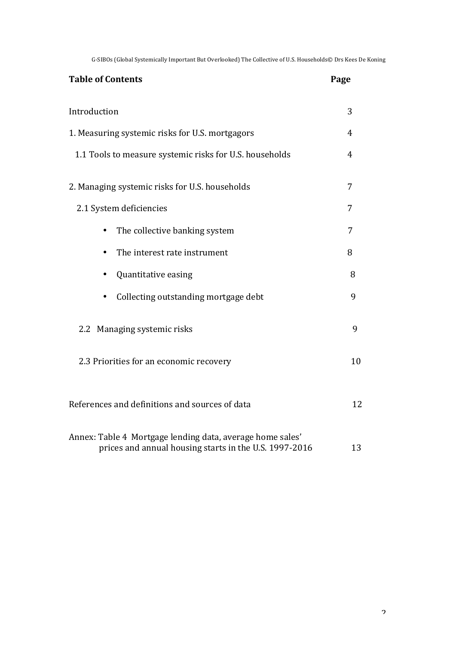| <b>Table of Contents</b>                                                                                            | Page |
|---------------------------------------------------------------------------------------------------------------------|------|
| Introduction                                                                                                        | 3    |
| 1. Measuring systemic risks for U.S. mortgagors                                                                     | 4    |
| 1.1 Tools to measure systemic risks for U.S. households                                                             | 4    |
| 2. Managing systemic risks for U.S. households                                                                      | 7    |
| 2.1 System deficiencies                                                                                             | 7    |
| The collective banking system                                                                                       | 7    |
| The interest rate instrument                                                                                        | 8    |
| Quantitative easing                                                                                                 | 8    |
| Collecting outstanding mortgage debt                                                                                | 9    |
| 2.2 Managing systemic risks                                                                                         | 9    |
| 2.3 Priorities for an economic recovery                                                                             | 10   |
| References and definitions and sources of data                                                                      | 12   |
| Annex: Table 4 Mortgage lending data, average home sales'<br>prices and annual housing starts in the U.S. 1997-2016 | 13   |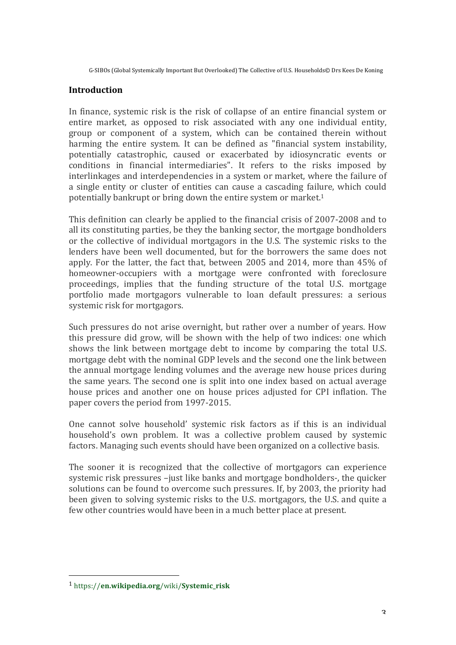#### **Introduction**

In finance, systemic risk is the risk of collapse of an entire financial system or entire market, as opposed to risk associated with any one individual entity, group or component of a system, which can be contained therein without harming the entire system. It can be defined as "financial system instability, potentially catastrophic, caused or exacerbated by idiosyncratic events or conditions in financial intermediaries". It refers to the risks imposed by interlinkages and interdependencies in a system or market, where the failure of a single entity or cluster of entities can cause a cascading failure, which could potentially bankrupt or bring down the entire system or market.<sup>1</sup>

This definition can clearly be applied to the financial crisis of 2007-2008 and to all its constituting parties, be they the banking sector, the mortgage bondholders or the collective of individual mortgagors in the U.S. The systemic risks to the lenders have been well documented, but for the borrowers the same does not apply. For the latter, the fact that, between 2005 and 2014, more than 45% of homeowner-occupiers with a mortgage were confronted with foreclosure proceedings, implies that the funding structure of the total U.S. mortgage portfolio made mortgagors vulnerable to loan default pressures: a serious systemic risk for mortgagors.

Such pressures do not arise overnight, but rather over a number of years. How this pressure did grow, will be shown with the help of two indices: one which shows the link between mortgage debt to income by comparing the total U.S. mortgage debt with the nominal GDP levels and the second one the link between the annual mortgage lending volumes and the average new house prices during the same years. The second one is split into one index based on actual average house prices and another one on house prices adjusted for CPI inflation. The paper covers the period from 1997-2015.

One cannot solve household' systemic risk factors as if this is an individual household's own problem. It was a collective problem caused by systemic factors. Managing such events should have been organized on a collective basis.

The sooner it is recognized that the collective of mortgagors can experience systemic risk pressures -just like banks and mortgage bondholders-, the quicker solutions can be found to overcome such pressures. If, by 2003, the priority had been given to solving systemic risks to the U.S. mortgagors, the U.S. and quite a few other countries would have been in a much better place at present.

<u> 1989 - Jan Samuel Barbara, politik eta politik eta politik eta politik eta politik eta politik eta politik e</u>

<sup>1</sup> https://**en.wikipedia.org**/wiki/**Systemic\_risk**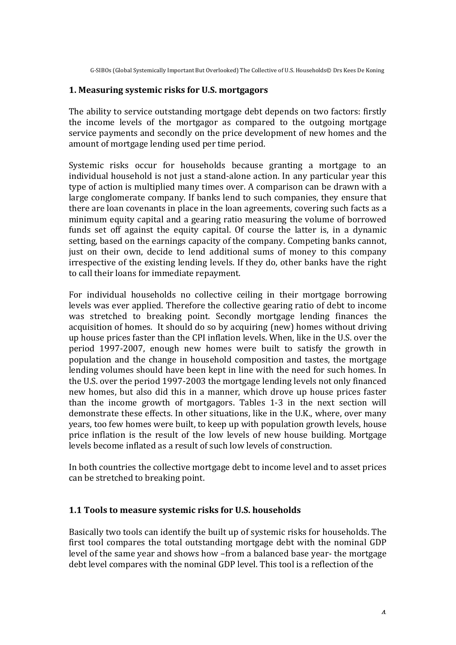#### **1. Measuring systemic risks for U.S. mortgagors**

The ability to service outstanding mortgage debt depends on two factors: firstly the income levels of the mortgagor as compared to the outgoing mortgage service payments and secondly on the price development of new homes and the amount of mortgage lending used per time period.

Systemic risks occur for households because granting a mortgage to an individual household is not just a stand-alone action. In any particular year this type of action is multiplied many times over. A comparison can be drawn with a large conglomerate company. If banks lend to such companies, they ensure that there are loan covenants in place in the loan agreements, covering such facts as a minimum equity capital and a gearing ratio measuring the volume of borrowed funds set off against the equity capital. Of course the latter is, in a dynamic setting, based on the earnings capacity of the company. Competing banks cannot, just on their own, decide to lend additional sums of money to this company irrespective of the existing lending levels. If they do, other banks have the right to call their loans for immediate repayment.

For individual households no collective ceiling in their mortgage borrowing levels was ever applied. Therefore the collective gearing ratio of debt to income was stretched to breaking point. Secondly mortgage lending finances the acquisition of homes. It should do so by acquiring (new) homes without driving up house prices faster than the CPI inflation levels. When, like in the U.S. over the period 1997-2007, enough new homes were built to satisfy the growth in population and the change in household composition and tastes, the mortgage lending volumes should have been kept in line with the need for such homes. In the U.S. over the period 1997-2003 the mortgage lending levels not only financed new homes, but also did this in a manner, which drove up house prices faster than the income growth of mortgagors. Tables  $1-3$  in the next section will demonstrate these effects. In other situations, like in the U.K., where, over many years, too few homes were built, to keep up with population growth levels, house price inflation is the result of the low levels of new house building. Mortgage levels become inflated as a result of such low levels of construction.

In both countries the collective mortgage debt to income level and to asset prices can be stretched to breaking point.

#### **1.1 Tools to measure systemic risks for U.S. households**

Basically two tools can identify the built up of systemic risks for households. The first tool compares the total outstanding mortgage debt with the nominal GDP level of the same vear and shows how –from a balanced base vear- the mortgage debt level compares with the nominal GDP level. This tool is a reflection of the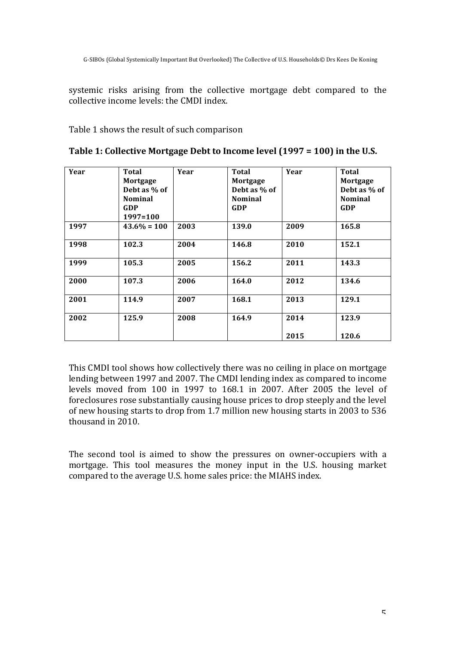systemic risks arising from the collective mortgage debt compared to the collective income levels: the CMDI index.

Table 1 shows the result of such comparison

| Year | Total<br>Mortgage<br>Debt as % of<br><b>Nominal</b><br>GDP<br>1997=100 | Year | <b>Total</b><br>Mortgage<br>Debt as % of<br><b>Nominal</b><br><b>GDP</b> | Year | <b>Total</b><br>Mortgage<br>Debt as % of<br><b>Nominal</b><br><b>GDP</b> |
|------|------------------------------------------------------------------------|------|--------------------------------------------------------------------------|------|--------------------------------------------------------------------------|
| 1997 | $43.6\% = 100$                                                         | 2003 | 139.0                                                                    | 2009 | 165.8                                                                    |
| 1998 | 102.3                                                                  | 2004 | 146.8                                                                    | 2010 | 152.1                                                                    |
| 1999 | 105.3                                                                  | 2005 | 156.2                                                                    | 2011 | 143.3                                                                    |
| 2000 | 107.3                                                                  | 2006 | 164.0                                                                    | 2012 | 134.6                                                                    |
| 2001 | 114.9                                                                  | 2007 | 168.1                                                                    | 2013 | 129.1                                                                    |
| 2002 | 125.9                                                                  | 2008 | 164.9                                                                    | 2014 | 123.9                                                                    |
|      |                                                                        |      |                                                                          | 2015 | 120.6                                                                    |

| Table 1: Collective Mortgage Debt to Income level (1997 = 100) in the U.S. |  |  |
|----------------------------------------------------------------------------|--|--|
|                                                                            |  |  |

This CMDI tool shows how collectively there was no ceiling in place on mortgage lending between 1997 and 2007. The CMDI lending index as compared to income levels moved from 100 in 1997 to 168.1 in 2007. After 2005 the level of foreclosures rose substantially causing house prices to drop steeply and the level of new housing starts to drop from 1.7 million new housing starts in 2003 to 536 thousand in 2010.

The second tool is aimed to show the pressures on owner-occupiers with a mortgage. This tool measures the money input in the U.S. housing market compared to the average U.S. home sales price: the MIAHS index.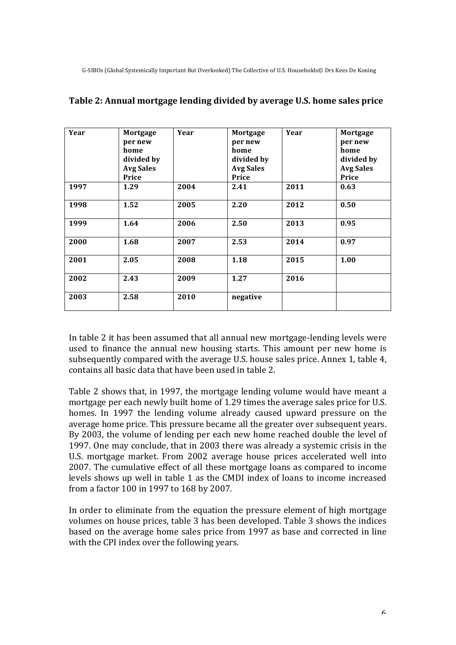| Year | Mortgage<br>per new<br>home<br>divided by<br><b>Avg Sales</b><br>Price | Year | Mortgage<br>per new<br>home<br>divided by<br><b>Avg Sales</b><br>Price | Year | Mortgage<br>per new<br>home<br>divided by<br><b>Avg Sales</b><br>Price |
|------|------------------------------------------------------------------------|------|------------------------------------------------------------------------|------|------------------------------------------------------------------------|
| 1997 | 1.29                                                                   | 2004 | 2.41                                                                   | 2011 | 0.63                                                                   |
| 1998 | 1.52                                                                   | 2005 | 2.20                                                                   | 2012 | 0.50                                                                   |
| 1999 | 1.64                                                                   | 2006 | 2.50                                                                   | 2013 | 0.95                                                                   |
| 2000 | 1.68                                                                   | 2007 | 2.53                                                                   | 2014 | 0.97                                                                   |
| 2001 | 2.05                                                                   | 2008 | 1.18                                                                   | 2015 | 1.00                                                                   |
| 2002 | 2.43                                                                   | 2009 | 1.27                                                                   | 2016 |                                                                        |
| 2003 | 2.58                                                                   | 2010 | negative                                                               |      |                                                                        |

#### **Table 2: Annual mortgage lending divided by average U.S. home sales price**

In table 2 it has been assumed that all annual new mortgage-lending levels were used to finance the annual new housing starts. This amount per new home is subsequently compared with the average U.S. house sales price. Annex 1, table 4, contains all basic data that have been used in table 2.

Table 2 shows that, in 1997, the mortgage lending volume would have meant a mortgage per each newly built home of 1.29 times the average sales price for U.S. homes. In 1997 the lending volume already caused upward pressure on the average home price. This pressure became all the greater over subsequent vears. By 2003, the volume of lending per each new home reached double the level of 1997. One may conclude, that in 2003 there was already a systemic crisis in the U.S. mortgage market. From 2002 average house prices accelerated well into 2007. The cumulative effect of all these mortgage loans as compared to income levels shows up well in table 1 as the CMDI index of loans to income increased from a factor 100 in 1997 to 168 by 2007.

In order to eliminate from the equation the pressure element of high mortgage volumes on house prices, table 3 has been developed. Table 3 shows the indices based on the average home sales price from 1997 as base and corrected in line with the CPI index over the following years.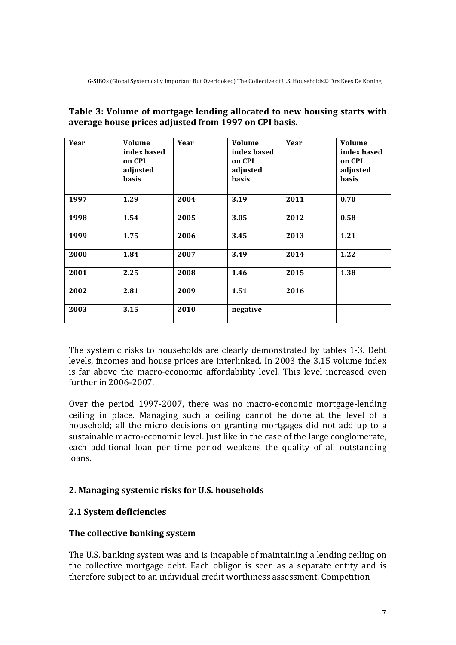| Year | Volume<br>index based<br>on CPI<br>adjusted<br><b>basis</b> | Year | <b>Volume</b><br>index based<br>on CPI<br>adjusted<br><b>basis</b> | Year | <b>Volume</b><br>index based<br>on CPI<br>adjusted<br><b>basis</b> |
|------|-------------------------------------------------------------|------|--------------------------------------------------------------------|------|--------------------------------------------------------------------|
| 1997 | 1.29                                                        | 2004 | 3.19                                                               | 2011 | 0.70                                                               |
| 1998 | 1.54                                                        | 2005 | 3.05                                                               | 2012 | 0.58                                                               |
| 1999 | 1.75                                                        | 2006 | 3.45                                                               | 2013 | 1.21                                                               |
| 2000 | 1.84                                                        | 2007 | 3.49                                                               | 2014 | 1.22                                                               |
| 2001 | 2.25                                                        | 2008 | 1.46                                                               | 2015 | 1.38                                                               |
| 2002 | 2.81                                                        | 2009 | 1.51                                                               | 2016 |                                                                    |
| 2003 | 3.15                                                        | 2010 | negative                                                           |      |                                                                    |

#### Table 3: Volume of mortgage lending allocated to new housing starts with average house prices adjusted from 1997 on CPI basis.

The systemic risks to households are clearly demonstrated by tables 1-3. Debt levels, incomes and house prices are interlinked. In 2003 the 3.15 volume index is far above the macro-economic affordability level. This level increased even further in 2006-2007.

Over the period 1997-2007, there was no macro-economic mortgage-lending ceiling in place. Managing such a ceiling cannot be done at the level of a household; all the micro decisions on granting mortgages did not add up to a sustainable macro-economic level. Just like in the case of the large conglomerate, each additional loan per time period weakens the quality of all outstanding loans.

#### **2. Managing systemic risks for U.S. households**

#### **2.1 System deficiencies**

#### **The collective banking system**

The U.S. banking system was and is incapable of maintaining a lending ceiling on the collective mortgage debt. Each obligor is seen as a separate entity and is therefore subject to an individual credit worthiness assessment. Competition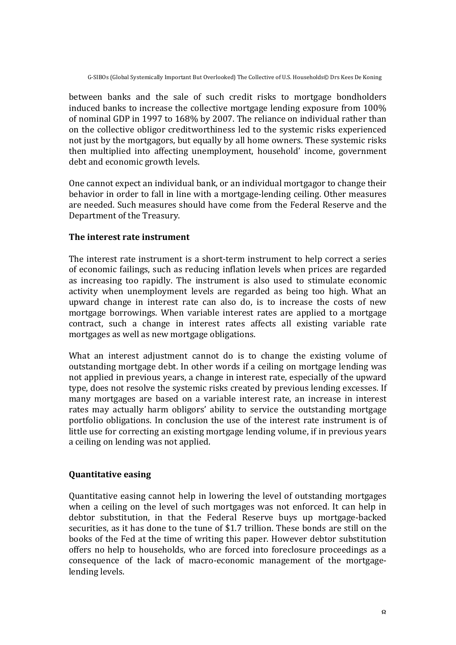between banks and the sale of such credit risks to mortgage bondholders induced banks to increase the collective mortgage lending exposure from 100% of nominal GDP in 1997 to 168% by 2007. The reliance on individual rather than on the collective obligor creditworthiness led to the systemic risks experienced not just by the mortgagors, but equally by all home owners. These systemic risks then multiplied into affecting unemployment, household' income, government debt and economic growth levels.

One cannot expect an individual bank, or an individual mortgagor to change their behavior in order to fall in line with a mortgage-lending ceiling. Other measures are needed. Such measures should have come from the Federal Reserve and the Department of the Treasury.

#### **The interest rate instrument**

The interest rate instrument is a short-term instrument to help correct a series of economic failings, such as reducing inflation levels when prices are regarded as increasing too rapidly. The instrument is also used to stimulate economic activity when unemployment levels are regarded as being too high. What an upward change in interest rate can also do, is to increase the costs of new mortgage borrowings. When variable interest rates are applied to a mortgage contract, such a change in interest rates affects all existing variable rate mortgages as well as new mortgage obligations.

What an interest adjustment cannot do is to change the existing volume of outstanding mortgage debt. In other words if a ceiling on mortgage lending was not applied in previous years, a change in interest rate, especially of the upward type, does not resolve the systemic risks created by previous lending excesses. If many mortgages are based on a variable interest rate, an increase in interest rates may actually harm obligors' ability to service the outstanding mortgage portfolio obligations. In conclusion the use of the interest rate instrument is of little use for correcting an existing mortgage lending volume, if in previous years a ceiling on lending was not applied.

#### **Quantitative easing**

Quantitative easing cannot help in lowering the level of outstanding mortgages when a ceiling on the level of such mortgages was not enforced. It can help in debtor substitution, in that the Federal Reserve buys up mortgage-backed securities, as it has done to the tune of \$1.7 trillion. These bonds are still on the books of the Fed at the time of writing this paper. However debtor substitution offers no help to households, who are forced into foreclosure proceedings as a consequence of the lack of macro-economic management of the mortgagelending levels.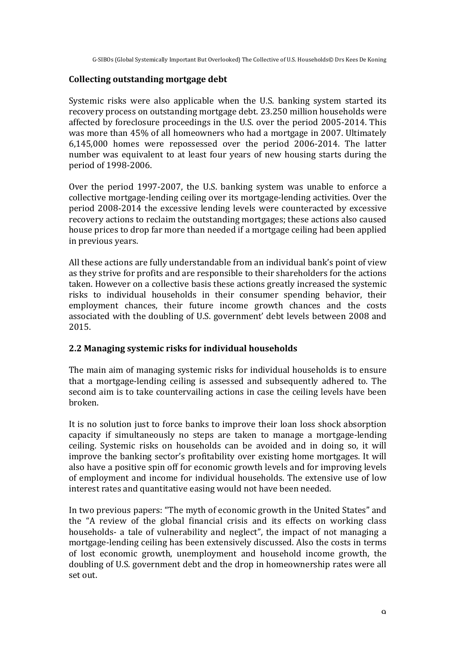#### **Collecting outstanding mortgage debt**

Systemic risks were also applicable when the U.S. banking system started its recovery process on outstanding mortgage debt. 23.250 million households were affected by foreclosure proceedings in the U.S. over the period 2005-2014. This was more than 45% of all homeowners who had a mortgage in 2007. Ultimately 6,145,000 homes were repossessed over the period 2006-2014. The latter number was equivalent to at least four years of new housing starts during the period of 1998-2006.

Over the period  $1997-2007$ , the U.S. banking system was unable to enforce a collective mortgage-lending ceiling over its mortgage-lending activities. Over the period 2008-2014 the excessive lending levels were counteracted by excessive recovery actions to reclaim the outstanding mortgages; these actions also caused house prices to drop far more than needed if a mortgage ceiling had been applied in previous vears.

All these actions are fully understandable from an individual bank's point of view as they strive for profits and are responsible to their shareholders for the actions taken. However on a collective basis these actions greatly increased the systemic risks to individual households in their consumer spending behavior, their employment chances, their future income growth chances and the costs associated with the doubling of U.S. government' debt levels between 2008 and 2015.

#### **2.2 Managing systemic risks for individual households**

The main aim of managing systemic risks for individual households is to ensure that a mortgage-lending ceiling is assessed and subsequently adhered to. The second aim is to take countervailing actions in case the ceiling levels have been broken.

It is no solution just to force banks to improve their loan loss shock absorption capacity if simultaneously no steps are taken to manage a mortgage-lending ceiling. Systemic risks on households can be avoided and in doing so, it will improve the banking sector's profitability over existing home mortgages. It will also have a positive spin off for economic growth levels and for improving levels of employment and income for individual households. The extensive use of low interest rates and quantitative easing would not have been needed.

In two previous papers: "The myth of economic growth in the United States" and the "A review of the global financial crisis and its effects on working class households- a tale of vulnerability and neglect", the impact of not managing a mortgage-lending ceiling has been extensively discussed. Also the costs in terms of lost economic growth, unemployment and household income growth, the doubling of U.S. government debt and the drop in homeownership rates were all set out.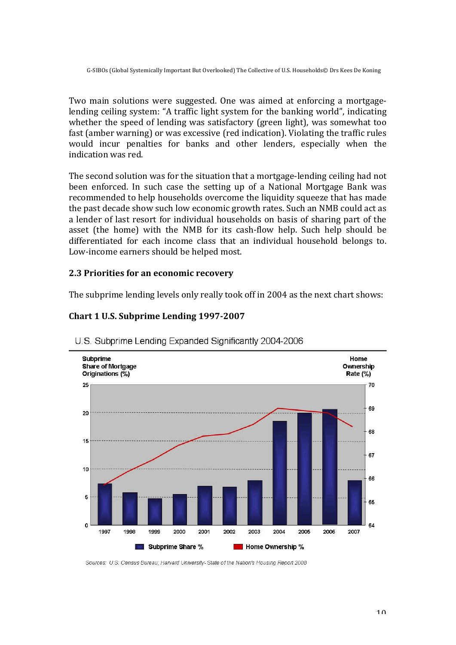Two main solutions were suggested. One was aimed at enforcing a mortgagelending ceiling system: "A traffic light system for the banking world", indicating whether the speed of lending was satisfactory (green light), was somewhat too fast (amber warning) or was excessive (red indication). Violating the traffic rules would incur penalties for banks and other lenders, especially when the indication was red.

The second solution was for the situation that a mortgage-lending ceiling had not been enforced. In such case the setting up of a National Mortgage Bank was recommended to help households overcome the liquidity squeeze that has made the past decade show such low economic growth rates. Such an NMB could act as a lender of last resort for individual households on basis of sharing part of the asset (the home) with the NMB for its cash-flow help. Such help should be differentiated for each income class that an individual household belongs to. Low-income earners should be helped most.

#### **2.3 Priorities for an economic recovery**

The subprime lending levels only really took off in 2004 as the next chart shows:



## **Chart 1 U.S. Subprime Lending 1997-2007**

Sources: U.S. Census Bureau; Harvard University-State of the Nation's Housing Report 2008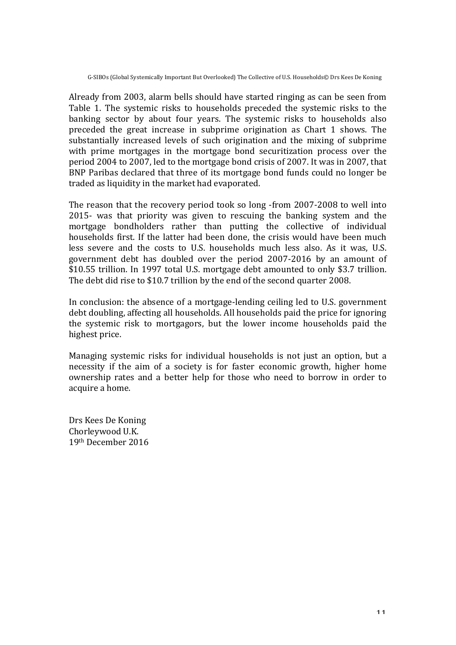Already from 2003, alarm bells should have started ringing as can be seen from Table 1. The systemic risks to households preceded the systemic risks to the banking sector by about four years. The systemic risks to households also preceded the great increase in subprime origination as Chart 1 shows. The substantially increased levels of such origination and the mixing of subprime with prime mortgages in the mortgage bond securitization process over the period 2004 to 2007, led to the mortgage bond crisis of 2007. It was in 2007, that BNP Paribas declared that three of its mortgage bond funds could no longer be traded as liquidity in the market had evaporated.

The reason that the recovery period took so long -from 2007-2008 to well into 2015- was that priority was given to rescuing the banking system and the mortgage bondholders rather than putting the collective of individual households first. If the latter had been done, the crisis would have been much less severe and the costs to U.S. households much less also. As it was, U.S. government debt has doubled over the period 2007-2016 by an amount of \$10.55 trillion. In 1997 total U.S. mortgage debt amounted to only \$3.7 trillion. The debt did rise to \$10.7 trillion by the end of the second quarter 2008.

In conclusion: the absence of a mortgage-lending ceiling led to U.S. government debt doubling, affecting all households. All households paid the price for ignoring the systemic risk to mortgagors, but the lower income households paid the highest price.

Managing systemic risks for individual households is not just an option, but a necessity if the aim of a society is for faster economic growth, higher home ownership rates and a better help for those who need to borrow in order to acquire a home.

Drs Kees De Koning Chorleywood U.K. 19th December 2016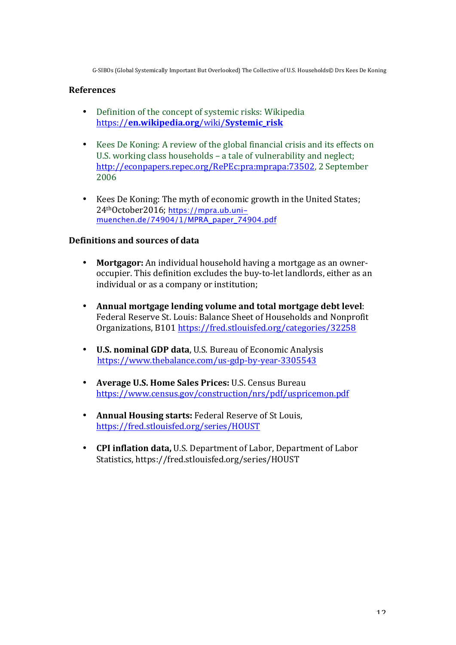#### **References**

- Definition of the concept of systemic risks: Wikipedia https://**en.wikipedia.org**/wiki/**Systemic\_risk**
- Kees De Koning: A review of the global financial crisis and its effects on U.S. working class households – a tale of vulnerability and neglect; http://econpapers.repec.org/RePEc:pra:mprapa:73502, 2 September 2006
- Kees De Koning: The myth of economic growth in the United States: 24<sup>th</sup>October2016; https://mpra.ub.unimuenchen.de/74904/1/MPRA\_paper\_74904.pdf

#### **Definitions and sources of data**

- **Mortgagor:** An individual household having a mortgage as an owneroccupier. This definition excludes the buy-to-let landlords, either as an individual or as a company or institution;
- Annual mortgage lending volume and total mortgage debt level: Federal Reserve St. Louis: Balance Sheet of Households and Nonprofit Organizations, B101 https://fred.stlouisfed.org/categories/32258
- **U.S. nominal GDP data**, U.S. Bureau of Economic Analysis https://www.thebalance.com/us-gdp-by-year-3305543
- **Average U.S. Home Sales Prices: U.S. Census Bureau** https://www.census.gov/construction/nrs/pdf/uspricemon.pdf
- Annual Housing starts: Federal Reserve of St Louis, https://fred.stlouisfed.org/series/HOUST
- **CPI inflation data,** U.S. Department of Labor, Department of Labor Statistics, https://fred.stlouisfed.org/series/HOUST